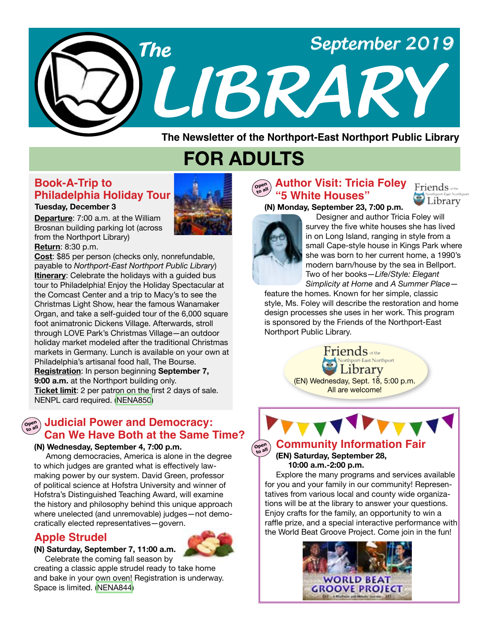

**The Newsletter of the Northport-East Northport Public Library**

# **FOR ADULTS**

### **Book-A-Trip to Philadelphia Holiday Tour**

#### **Tuesday, December 3**

**Departure**: 7:00 a.m. at the William Brosnan building parking lot (across from the Northport Library)

**Return**: 8:30 p.m.

**Cost**: \$85 per person (checks only, nonrefundable, payable to *Northport-East Northport Public Library*) **Itinerary**: Celebrate the holidays with a guided bus tour to Philadelphia! Enjoy the Holiday Spectacular at the Comcast Center and a trip to Macy's to see the Christmas Light Show, hear the famous Wanamaker Organ, and take a self-guided tour of the 6,000 square foot animatronic Dickens Village. Afterwards, stroll through LOVE Park's Christmas Village—an outdoor holiday market modeled after the traditional Christmas markets in Germany. Lunch is available on your own at Philadelphia's artisanal food hall, The Bourse. **Registration**: In person beginning **September 7, 9:00 a.m.** at the Northport building only. **Ticket limit**: 2 per patron on the first 2 days of sale. NENPL card required. ([NENA850\)](https://search.livebrary.com/record=g1093509~S43)

## **Judicial Power and Democracy: Can We Have Both at the Same Time?**

#### **(N) Wednesday, September 4, 7:00 p.m.**

 Among democracies, America is alone in the degree to which judges are granted what is effectively lawmaking power by our system. David Green, professor of political science at Hofstra University and winner of Hofstra's Distinguished Teaching Award, will examine the history and philosophy behind this unique approach where unelected (and unremovable) judges—not democratically elected representatives—govern.

### **Apple Strudel**



**(N) Saturday, September 7, 11:00 a.m.** Celebrate the coming fall season by

creating a classic apple strudel ready to take home and bake in your own oven! Registration is underway. Space is limited. ([NENA844](https://search.livebrary.com/record=g1093096~S43))

#### **Open to all Author Visit: Tricia Foley "5 White Houses"**

**(N) Monday, September 23, 7:00 p.m.**





 Designer and author Tricia Foley will survey the five white houses she has lived in on Long Island, ranging in style from a small Cape-style house in Kings Park where she was born to her current home, a 1990's modern barn/house by the sea in Bellport. Two of her books—*Life/Style: Elegant Simplicity at Home* and *A Summer Place*—

feature the homes. Known for her simple, classic style, Ms. Foley will describe the restoration and home design processes she uses in her work. This program is sponsored by the Friends of the Northport-East Northport Public Library.

> $\operatorname{Friends}_{\text{\tiny{of the}}}$ **Jorthport-East Northport** Library (EN) Wednesday, Sept. 18, 5:00 p.m. All are welcome!



#### $\overline{O_{\text{to all}}^{\text{open}}}$ **to all Community Information Fair**

 **(EN) Saturday, September 28, 10:00 a.m.-2:00 p.m.**

 Explore the many programs and services available for you and your family in our community! Representatives from various local and county wide organizations will be at the library to answer your questions. Enjoy crafts for the family, an opportunity to win a raffle prize, and a special interactive performance with the World Beat Groove Project. Come join in the fun!

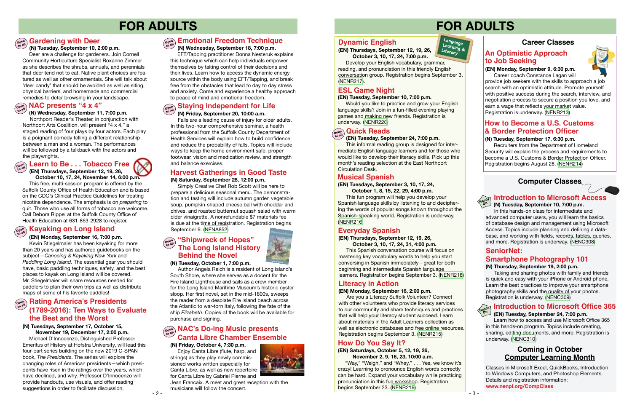# **FOR ADULTS**



 **(N) Wednesday, September 11, 7:00 p.m.** Northport Reader's Theater, in conjunction with Northport Arts Coalition, will present "4 x 4," a staged reading of four plays by four actors. Each play

#### **Introduction to Microsoft Access (N) Tuesday, September 10, 7:00 p.m.**

is a poignant comedy telling a different relationship between a man and a woman. The performances will be followed by a talkback with the actors and the playwrights.

# **FOR ADULTS**

## **Computer Classes**



 In this hands-on class for intermediate and advanced computer users, you will learn the basics of database design and management using Microsoft Access. Topics include planning and defining a database, and working with fields, records, tables, queries, and more. Registration is underway. [\(NENC308\)](https://search.livebrary.com/record=g1057769~S43)

#### **SeniorNet:**

#### **(N) Thursday, September 19, 2:00 p.m.**

#### **Emotional Freedom Technique (N) Wednesday, September 18, 7:00 p.m.**

 Taking and sharing photos with family and friends is quick and easy with your iPhone or Android phone. Learn the best practices to improve your smartphone photography skills and the quality of your photos. Registration is underway. [\(NENC309\)](https://search.livebrary.com/record=g1093187~S43)

# Hands **Introduction to Microsoft Office 365**

 **(EN) Tuesday, September 24, 7:00 p.m.** 

Learn how to access and use Microsoft Office 365 in this hands-on program. Topics include creating, sharing, editing documents, and more. Registration is underway. [\(NENC310\)](https://search.livebrary.com/record=g1093196~S43)



 **(N) Tuesday, September 10, 2:00 p.m.** 

Deer are a challenge for gardeners. Join Cornell Community Horticulture Specialist Roxanne Zimmer as she describes the shrubs, annuals, and perennials that deer tend not to eat. Native plant choices are featured as well as other ornamentals. She will talk about 'deer candy' that should be avoided as well as siting, physical barriers, and homemade and commercial remedies to deter browsing in your landscape.

## $\begin{bmatrix} \mathbb{C}_{\mathrm{open}} \end{bmatrix}$  NAC presents "4 x 4"

 $\widehat{\mathcal{C}}_{\text{open}}^{\text{open}}$ ) Learn to Be  $\dots$  Tobacco Free **to all**

 EFT/Tapping practitioner Donna Nesteruk explains this technique which can help individuals empower themselves by taking control of their decisions and their lives. Learn how to access the dynamic energy source within the body using EFT/Tapping, and break free from the obstacles that lead to day to day stress and anxiety. Come and experience a healthy approach to peace of mind and emotional freedom.

#### **Open to all**

 **(EN) Monday, September 16, 7:00 p.m.** Kevin Stiegelmaier has been kayaking for more than 20 years and has authored guidebooks on the subject—*Canoeing & Kayaking New York* and *Paddling Long Island*. The essential gear you should have, basic paddling techniques, safety, and the best places to kayak on Long Island will be covered. Mr. Stiegelmaier will share resources needed for paddlers to plan their own trips as well as distribute maps of some of his favorite paddles!

## **open Rating America's Presidents (1789-2016): Ten Ways to Evaluate the Best and the Worst**

 **(N) Friday, September 20, 10:00 a.m.** Falls are a leading cause of injury for older adults. In this two-hour comprehensive seminar, a health professional from the Suffolk County Department of Health Services will explain how to build confidence and reduce the probability of falls. Topics will include ways to keep the home environment safe, proper footwear, vision and medication review, and strength and balance exercises.

## **Dynamic English**

#### **(EN) Tuesday, September 24, 7:00 p.m.**

This informal reading group is designed for intermediate English language learners and for those who would like to develop their literacy skills. Pick up this month's reading selection at the East Northport Circulation Desk.

#### **Staying Independent for Life Open to all**

 **(EN) Thursdays, September 12, 19, 26, October 10, 17, 24, November 14, 6:00 p.m.**  This free, multi-session program is offered by the Suffolk County Office of Health Education and is based on the CDC's Clinical Practice Guidelines for treating nicotine dependence. The emphasis is on *preparing* to quit. Those who use all forms of tobacco are welcome.

Call Debora Rippel at the Suffolk County Office of Health Education at 631-853-2928 to register.

## $\left(\begin{smallmatrix} \mathsf{open}\ \mathsf{on} \end{smallmatrix}\right)$  Kayaking on Long Island

## **Harvest Gatherings in Good Taste**

**Career coach Constance Lagan will** provide job seekers with the skills to approach a job search with an optimistic attitude. Promote yourself with positive success during the search, interview, and negotiation process to secure a position you love, and earn a wage that reflects your market value. Registration is underway. [\(NENR213](https://search.livebrary.com/record=g1093288~S43))

#### **(N) Saturday, September 28, 12:00 p.m.**

 Simply Creative Chef Rob Scott will be here to prepare a delicious seasonal menu. The demonstration and tasting will include autumn garden vegetable soup, pumpkin-shaped cheese ball with cheddar and chives, and roasted butternut squash salad with warm cider vinaigrette. A nonrefundable \$7 materials fee is due at the time of registration. Registration begins September 9. [\(NENA852](https://search.livebrary.com/record=g1093550~S43))

## **NAC's Do-ing Music presents Canta Libre Chamber Ensemble**

## **Literacy in Action**

**(EN) Thursdays, September 12, 19, 26, October 3, 10, 17, 24, 7:00 p.m.**

Develop your English vocabulary, grammar, reading, and pronunciation in this friendly English conversation group. Registration begins September 3. ([NENR217\)](https://search.livebrary.com/record=g1093756~S43).

#### **(N) Tuesday, October 1, 7:00 p.m.**

 Author Angela Reich is a resident of Long Island's South Shore, where she serves as a docent for the Fire Island Lighthouse and sails as a crew member for the Long Island Maritime Museum's historic oyster sloop. Her first novel, set in the mid-1800s, sweeps the reader from a desolate Fire Island beach across the Atlantic to war-torn Italy, following the fate of the ship *Elizabeth*. Copies of the book will be available for purchase and signing.

#### **"Shipwreck of Hopes" Open to all The Long Island History Behind the Novel**

#### **(N) Tuesdays, September 17, October 15,**

 **November 19, December 17, 2:00 p.m.** Michael D'Innocenzo, Distinguished Professor Emeritus of History at Hofstra University, will lead this four-part series building on the new 2019 C-SPAN book, *The Presidents*. The series will explore the changing roles of American presidents—which presidents have risen in the ratings over the years, which have declined, and why. Professor D'Innocenzo will provide handouts, use visuals, and offer reading suggestions in order to facilitate discussion.

## **ESL Game Night**

#### **(EN) Tuesday, September 10, 7:00 p.m.**

Would you like to practice and grow your English language skills? Join in a fun-filled evening playing games and making new friends. Registration is underway. ([NENR220\)](https://search.livebrary.com/record=g1093632~S43)

## $\left(\begin{smallmatrix} \mathsf{open}\ \mathsf{out} \end{smallmatrix}\right)$  Quick Reads

## **Musical Spanish**

#### **(EN) Tuesdays, September 3, 10, 17, 24, October 1, 8, 15, 22, 29, 4:00 p.m.**

 This fun program will help you develop your Spanish language skills by listening to and deciphering the words of popular songs known throughout the Spanish-speaking world. Registration is underway. [\(NENR216](https://search.livebrary.com/record=g1093292~S43))



### **Everyday Spanish**

#### **(EN) Thursdays, September 12, 19, 26, October 3, 10, 17, 24, 31, 4:00 p.m.**

 This Spanish conversation course will focus on mastering key vocabulary words to help you start conversing in Spanish immediately—great for both beginning and intermediate Spanish language learners. Registration begins September 3. ([NENR218](https://search.livebrary.com/record=g1093758~S43))

#### **(EN) Monday, September 16, 2:00 p.m.**

Are you a Literacy Suffolk Volunteer? Connect with other volunteers who provide literacy services to our community and share techniques and practices that will help your literacy student succeed. Learn about materials in the Adult Learners collection as well as electronic databases and free online resources. Registration begins September 3. [\(NENR215\)](https://search.livebrary.com/record=g1093304~S43)

## **How Do You Say It?**

#### **(EN) Saturdays, October 5, 12, 19, 26, November 2, 9, 16, 23, 10:00 a.m.**

"Way," "Weigh," and "Whey," . . . Yes, we know it's crazy! Learning to pronounce English words correctly can be hard. Expand your vocabulary while practicing pronunciation in this fun workshop. Registration begins September 23. ([NENR219\)](https://search.livebrary.com/record=g1094245~S43)

### **Smartphone Photography 101**

#### **(N) Tuesday, September 17, 6:30 p.m.**

Recruiters from the Department of Homeland Security will explain the process and requirements to become a U.S. Customs & Border Protection Officer. Registration begins August 28. [\(NENR214](https://search.livebrary.com/record=g1093770~S43))

## **Career Classes**



## **How to Become a U.S. Customs & Border Protection Officer**

### **An Optimistic Approach to Job Seeking**

Classes in Microsoft Excel, QuickBooks, Introduction to Windows Computers, and Photoshop Elements. Details and registration information: **www.nenpl.org/CompClass** 

### **Coming in October Computer Learning Month**

#### **(N) Friday, October 4, 7:30 p.m.**

Enjoy Canta Libre (flute, harp, and strings) as they play newly commissioned works written especially for Canta Libre, as well as new repertoire for Canta Libre by Gabriel Pierne and

Jean Francaix. A meet and greet reception with the musicians will follow the concert.



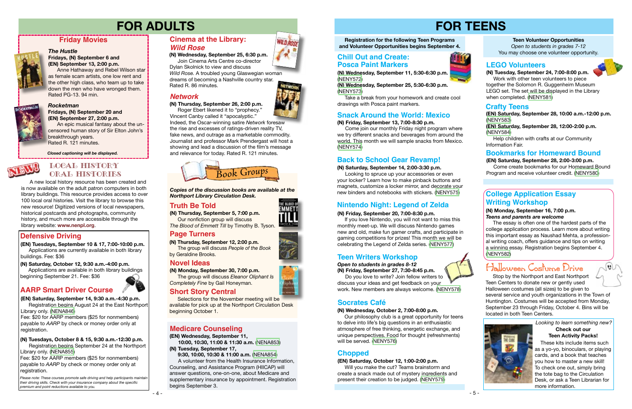# **FOR TEENS**



## **Teen Writers Workshop**

#### **(N) Saturday, September 14, 2:00-3:30 p.m.**

 Looking to spruce up your accessories or even your locker? Learn how to make pinback buttons and magnets, customize a locker mirror, and decorate your new binders and notebooks with stickers. [\(NENY575](https://search.livebrary.com/record=g1093660~S43))

## **Back to School Gear Revamp!**

#### **Teen Volunteer Opportunities**

*Open to students in grades 7-12* You may choose one volunteer opportunity.

### **Bookmarks for Homeward Bound**

**(EN) Saturday, September 28, 2:00-3:00 p.m.** Come create bookmarks for our Homeward Bound Program and receive volunteer credit. ([NENY580](https://search.livebrary.com/record=g1094136~S43))

## **LEGO Volunteers**



 $|\boldsymbol{v}|$ 







## *Rocketman*

Please note: These courses promote safe driving and help participants maintain *their driving skills. Check with your insurance company about the specific premium and point reductions available to you.*

**Fridays, (N) September 20 and (EN) September 27, 2:00 p.m.**

 An epic musical fantasy about the uncensored human story of Sir Elton John's breakthrough years. Rated R. 121 minutes.

## **Friday Movies**



#### *The Hustle* **Fridays, (N) September 6 and (EN) September 13, 2:00 p.m.**

Anne Hathaway and Rebel Wilson star as female scam artists, one low rent and the other high class, who team up to take down the men who have wronged them. Rated PG-13. 94 min.



*Closed captioning will be displayed.*

# **FOR ADULTS**

## **Defensive Driving**

## **AARP Smart Driver Course**

**(EN) Tuesdays, September 10 & 17, 7:00-10:00 p.m.** Applications are currently available in both library buildings. Fee: \$36

**(EN) Saturday, September 14, 9:30 a.m.-4:30 p.m.**

Registration begins August 24 at the East Northport Library only. [\(NENA846](https://search.livebrary.com/record=g1093073~S43))

Fee: \$20 for AARP members (\$25 for nonmembers) payable to *AARP* by check or money order only at registration.

 **(N) Saturday, October 12, 9:30 a.m.-4:00 p.m.** Applications are available in both library buildings

beginning September 21. Fee: \$36

 **(N) Wednesday, September 25, 6:30 p.m.**

 Join Cinema Arts Centre co-director Dylan Skolnick to view and discuss *Wild Rose.* A troubled young Glaswegian woman dreams of becoming a Nashville country star. Rated R. 86 minutes.

#### **(N) Tuesdays, October 8 & 15, 9:30 a.m.-12:30 p.m.**

Registration begins September 24 at the Northport Library only. ([NENA855](https://search.livebrary.com/record=g1093537~S43))

Fee: \$20 for AARP members (\$25 for nonmembers) payable to *AARP* by check or money order only at registration.

**(N) Thursday, September 5, 7:00 p.m.** Our nonfiction group will discuss *The Blood of Emmett Till* by Timothy B. Tyson.



**(N) Monday, September 30, 7:00 p.m.** The group will discuss *Eleanor Oliphant Is* 

*Completely Fine* by Gail Honeyman.

**(N) Thursday, September 12, 2:00 p.m.**

### **Cinema at the Library:** *Wild Rose*

 The group will discuss *People of the Book* by Geraldine Brooks.

*Copies of the discussion books are available at the Northport Library Circulation Desk.* 

## **Truth Be Told**

### **Novel Ideas**

### **Page Turners**



**(EN) Wednesday, September 11,**

 **10:00, 10:30, 11:00 & 11:30 a.m.** [\(NENA853\)](https://search.livebrary.com/record=g1093616~S43) **(N) Tuesday, September 17,**

 **9:30, 10:00, 10:30 & 11:00 a.m.** [\(NENA854\)](https://search.livebrary.com/record=g1093618~S43) A volunteer from the Health Insurance Information, Counseling, and Assistance Program (HIICAP) will

answer questions, one-on-one, about Medicare and supplementary insurance by appointment. Registration begins September 3.





## Local History ORAL HISTORIES

## **Medicare Counseling**



[\(NENY572\)](https://search.livebrary.com/record=g1093604~S43) **(N) Wednesday, September 25, 5:30-6:30 p.m.**

[\(NENY573\)](https://search.livebrary.com/record=g1093605~S43) Take a break from your homework and create cool drawings with Posca paint markers.

#### **(N) Friday, September 20, 7:00-8:30 p.m.**

If you love Nintendo, you will not want to miss this monthly meet-up. We will discuss Nintendo games new and old, make fun gamer crafts, and participate in gaming competitions for prizes! This month we will be celebrating the Legend of Zelda series. ([NENY577\)](https://search.livebrary.com/record=g1094078~S43)

## **Nintendo Night: Legend of Zelda**

*Open to students in grades 8-12* **(N) Friday, September 27, 7:30-8:45 p.m.**

 Do you love to write? Join fellow writers to discuss your ideas and get feedback on your work. New members are always welcome. ([NENY578\)](https://search.livebrary.com/record=g1094079~S43)

#### **(N) Tuesday, September 24, 7:00-8:00 p.m.**

 Work with other teen volunteers to piece together the Solomon R. Guggenheim Museum LEGO set. The set will be displayed in the Library when completed. [\(NENY581](https://search.livebrary.com/record=g1094139~S43))

> These kits include items such as a yo-yo, binoculars, or playing cards, and a book that teaches you how to master a new skill! To check one out, simply bring the tote bag to the Circulation Desk, or ask a Teen Librarian for more information.



## **Chill Out and Create: Posca Paint Markers**

*Looking to learn something new?*  **Check out our Teen Activity Packs!**

## *Network*

 **(N) Thursday, September 26, 2:00 p.m.** Roger Ebert likened it to "prophecy."



the rise and excesses of ratings-driven reality TV, fake news, and outrage as a marketable commodity. Journalist and professor Mark Prendergast will host a showing and lead a discussion of the film's message and relevance for today. Rated R. 121 minutes.

#### **(N) Friday, September 13, 7:00-8:30 p.m.**

 Come join our monthly Friday night program where we try different snacks and beverages from around the world. This month we will sample snacks from Mexico. ([NENY574\)](https://search.livebrary.com/record=g1093606~S43)

## **Snack Around the World: Mexico**

#### **(N) Wednesday, October 2, 7:00-8:00 p.m.**

Our philosophy club is a great opportunity for teens to delve into life's big questions in an enthusiastic atmosphere of free thinking, energetic exchange, and unique perspectives. Food for thought (refreshments) will be served. ([NENY576](https://search.livebrary.com/record=g1094133~S43))

## **Socrates Café**

### **(EN) Saturday, October 12, 1:00-2:00 p.m.**

 Will you make the cut? Teams brainstorm and create a snack made out of mystery ingredients and present their creation to be judged. ([NENY579\)](https://search.livebrary.com/record=g1094134~S43)

## **Chopped**

#### **(N) Monday, September 16, 7:00 p.m.** *Teens and parents are welcome*

 The essay is often one of the hardest parts of the college application process. Learn more about writing this important essay as Naushad Mehta, a professional writing coach, offers guidance and tips on writing a winning essay. Registration begins September 4. ([NENY582](https://search.livebrary.com/record=g1093661~S43))

## **College Application Essay Writing Workshop**

A new local history resource has been created and is now available on the adult patron computers in both library buildings. This resource provides access to over 100 local oral histories. Visit the library to browse this new resource! Digitized versions of local newspapers, historical postcards and photographs, community history, and much more are accessible through the library website: **www.nenpl.org**.

> Selections for the November meeting will be available for pick up at the Northport Circulation Desk beginning October 1.

## **Short Story Central**

#### **Crafty Teens**

**(EN) Saturday, September 28, 10:00 a.m.-12:00 p.m.** ([NENY583\)](https://search.livebrary.com/record=g1094141~S43)

**(EN) Saturday, September 28, 12:00-2:00 p.m.** ([NENY584\)](https://search.livebrary.com/record=g1094142~S43)

 Help children with crafts at our Community Information Fair.

 Stop by the Northport and East Northport Teen Centers to donate new or gently used Halloween costumes (all sizes) to be given to several service and youth organizations in the Town of Huntington. Costumes will be accepted from Monday, September 23 through Friday, October 4. Bins will be located in both Teen Centers.

# Halloween Costume Drive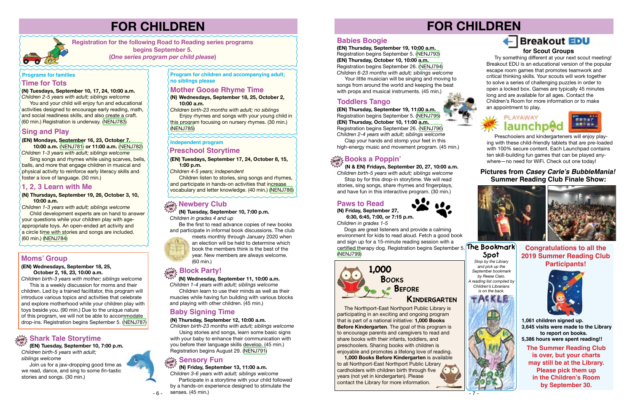#### **drop Shark Tale Storytime in**

#### **(N) Thursdays, September 19, 26, October 3, 10, 10:00 a.m.**

*Children 1-3 years with adult; siblings welcome*

Child development experts are on hand to answer your questions while your children play with ageappropriate toys. An open-ended art activity and a circle time with stories and songs are included. (60 min.) ([NENJ784](https://search.livebrary.com/record=g1093259~S43))

## **Sing and Play**

#### **(EN) Mondays, September 16, 23, October 7,**

 **10:00 a.m.** ([NENJ781](https://search.livebrary.com/record=g1093260~S43)) **or 11:00 a.m.** ([NENJ782](https://search.livebrary.com/record=g1093327~S43)) *Children 1-3 years with adult; siblings welcome*

 Sing songs and rhymes while using scarves, bells, balls, and more that engage children in musical and physical activity to reinforce early literacy skills and foster a love of language. (30 min.)

#### **Programs for families**

# **FOR CHILDREN**

**Registration for the following Road to Reading series programs begins September 5. (***One series program per child please***)** 

#### **1, 2, 3 Learn with Me**

**Program for children and accompanying adult; no siblings please** 

**(N) Wednesdays, September 18, 25, October 2, 10:00 a.m.**

*Children birth-23 months with adult; no siblings* Enjoy rhymes and songs with your young child in

this program focusing on nursery rhymes. (30 min.) [\(NENJ785\)](https://search.livebrary.com/record=g1093256~S43)

## **Mother Goose Rhyme Time**

*Children 1-4 years with adult; siblings welcome* Children learn to use their minds as well as their muscles while having fun building with various blocks and playing with other children. (45 min.)

 **(EN) Tuesday, September 10, 7:00 p.m.** *Children birth-5 years with adult; siblings welcome*

 Join us for a jaw-dropping good time as we read, dance, and sing to some *fin*-tastic stories and songs. (30 min.)

*Stop by the Library and pick up the September bookmark by Reese Ciaio. reading list compiled by Children's Librarians is on the back.*



# **Spot**

 **(N) Tuesday, September 10, 7:00 p.m.** *Children in grades 4 and up*

Be the first to read advance copies of new books and participate in informal book discussions. The club

meets monthly through January 2020 when an election will be held to determine which book the members think is the best of the year. New members are always welcome. (60 min.)

#### **Block Party! drop**

 **(N) Wednesday, September 11, 10:00 a.m. in**

> **The Summer Reading Club is over, but your charts may still be at the Library. Please pick them up in the Children's Room by September 30. 1,061 children signed up. 3,645 visits were made to the Library to report on books. 5,386 hours were spent reading!!**

**Congratulations to all the 2019 Summer Reading Club Participants!**



*Children birth-23 months with adult; siblings welcome*  Using stories and songs, learn some basic signs

with your baby to enhance their communication with you before their language skills develop. (45 min.) Registration begins August 29. [\(NENJ791\)](https://search.livebrary.com/record=g1093265~S43)

**(EN) Tuesdays, September 17, 24, October 8, 15, 1:00 p.m.**

*Children 4-5 years; independent*

Children listen to stories, sing songs and rhymes, and participate in hands-on activities that increase vocabulary and letter knowledge. (40 min.) ([NENJ786](https://search.livebrary.com/record=g1093235~S43))

## **Concept State of Second State State**

#### **Independent program**

## **Preschool Storytime**

## **Moms' Group**

#### **(EN) Wednesdays, September 18, 25, October 2, 16, 23, 10:00 a.m.**

*Children birth-3 years with mother; siblings welcome*

# **FOR CHILDREN** + Breakout EDU **for Scout Groups**

 This is a weekly discussion for moms and their children. Led by a trained facilitator, this program will introduce various topics and activities that celebrate and explore motherhood while your children play with toys beside you. (90 min.) Due to the unique nature of this program, we will not be able to accommodate drop-ins. Registration begins September 5. [\(NENJ787\)](https://search.livebrary.com/record=g1093252~S43)

### **Pictures from Casey Carle's BubbleMania! Summer Reading Club Finale Show:**





certified therapy dog. Registration begins September 5. **The Bookmark** Dogs are great listeners and provide a calming environment for kids to read aloud. Fetch a good book and sign up for a 15-minute reading session with a [\(NENJ799\)](https://search.livebrary.com/record=g1093631~S43)

Preschoolers and kindergarteners will enjoy playing with these child-friendly tablets that are pre-loaded with 100% secure content. Each Launchpad contains ten skill-building fun games that can be played anywhere—no need for WiFi. Check out one today!

 The Northport-East Northport Public Library is participating in an exciting and ongoing program that is part of a national initiative: **1,000 Books Before Kindergarten**. The goal of this program is to encourage parents and caregivers to read and share books with their infants, toddlers, and preschoolers. Sharing books with children is enjoyable and promotes a lifelong love of reading.

 **1,000 Books Before Kindergarten** is available to all Northport-East Northport Public Library cardholders with children birth through five years (not yet in kindergarten). Please contact the Library for more information.











## **Kindergarten**

## **Books Before**

Try something different at your next scout meeting! Breakout EDU is an educational version of the popular escape room games that promotes teamwork and critical thinking skills. Your scouts will work together to solve a series of challenging puzzles in order to open a locked box. Games are typically 45 minutes long and are available for all ages. Contact the Children's Room for more information or to make an appointment to play.



#### **Time for Tots**

**(N) Tuesdays, September 10, 17, 24, 10:00 a.m.**

*Children 2-5 years with adult; siblings welcome* **You and your child will enjoy fun and educational** activities designed to encourage early reading, math, and social readiness skills, and also create a craft. (60 min.) Registration is underway. ([NENJ783\)](https://search.livebrary.com/record=g1093255~S43)

#### **(N) Thursday, September 12, 10:00 a.m.**

## **Baby Signing Time**

**(EN) Thursday, September 19, 10:00 a.m.** Registration begins September 5. [\(NENJ793\)](https://search.livebrary.com/record=g1093247~S43) **(EN) Thursday, October 10, 10:00 a.m.** Registration begins September 26. [\(NENJ794](https://search.livebrary.com/record=g1093249~S43)) *Children 6-23 months with adult; siblings welcome* 

 Your little musician will be singing and moving to songs from around the world and keeping the beat with props and musical instruments. (45 min.)

## **Babies Boogie**

 **(EN) Thursday, September 19, 11:00 a.m.** Registration begins September 5. ([NENJ795](https://search.livebrary.com/record=g1093248~S43)) **(EN) Thursday, October 10, 11:00 a.m.** Registration begins September 26. [\(NENJ796\)](https://search.livebrary.com/record=g1093250~S43) *Children 2-4 years with adult; siblings welcome*

 Clap your hands and stomp your feet in this high-energy music and movement program. (45 min.)

## **Toddlers Tango**

**in (N) Friday, September 13, 11:00 a.m.**

#### **drop Sensory Fun**

*Children 3-6 years with adult; siblings welcome* Participate in a storytime with your child followed by a hands-on experience designed to stimulate the

## **Books a Poppin' drop in**

 **(N & EN) Fridays, September 20, 27, 10:00 a.m.** *Children birth-5 years with adult; siblings welcome* Stop by for this drop-in storytime. We will read stories, sing songs, share rhymes and fingerplays, and have fun in this interactive program. (30 min.)

#### **(N) Friday, September 27, 6:30, 6:45, 7:00, or 7:15 p.m.**

*Children in grades 1-5*

## **Paws to Read**